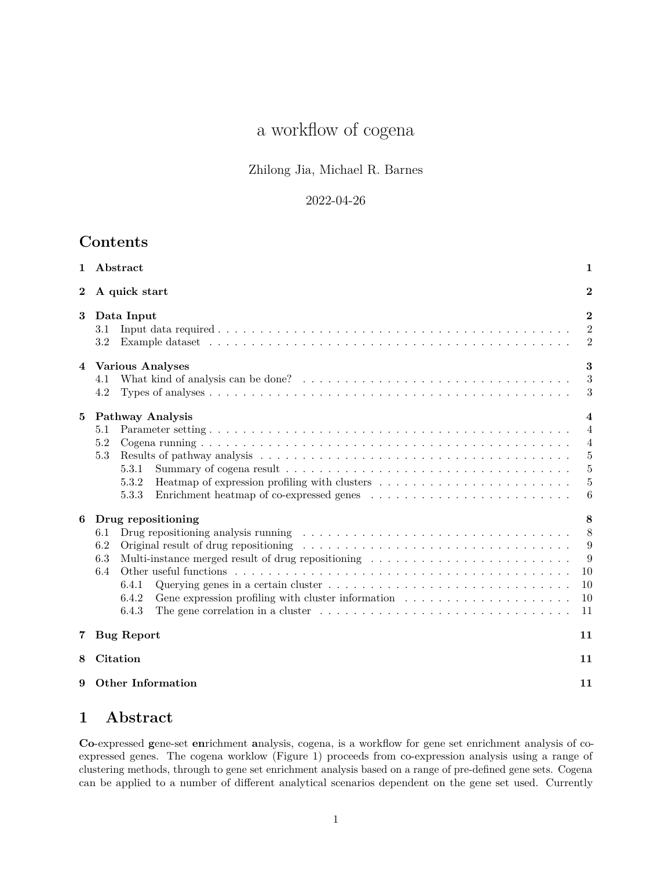# a workflow of cogena

# Zhilong Jia, Michael R. Barnes

### 2022-04-26

# <span id="page-0-1"></span>**Contents**

| 1        | Abstract                                                                                                                                                                                                                                                                                                                                                                                                                                                                                                                                                                                                                                                                                                                                                                                                                                                                                      | 1                                                                                                                      |  |  |  |  |  |  |  |
|----------|-----------------------------------------------------------------------------------------------------------------------------------------------------------------------------------------------------------------------------------------------------------------------------------------------------------------------------------------------------------------------------------------------------------------------------------------------------------------------------------------------------------------------------------------------------------------------------------------------------------------------------------------------------------------------------------------------------------------------------------------------------------------------------------------------------------------------------------------------------------------------------------------------|------------------------------------------------------------------------------------------------------------------------|--|--|--|--|--|--|--|
| $\bf{2}$ | A quick start                                                                                                                                                                                                                                                                                                                                                                                                                                                                                                                                                                                                                                                                                                                                                                                                                                                                                 |                                                                                                                        |  |  |  |  |  |  |  |
| 3        | Data Input<br>3.1<br>3.2                                                                                                                                                                                                                                                                                                                                                                                                                                                                                                                                                                                                                                                                                                                                                                                                                                                                      | $\overline{2}$<br>$\overline{2}$<br>$\overline{2}$                                                                     |  |  |  |  |  |  |  |
| 4        | <b>Various Analyses</b><br>4.1<br>4.2                                                                                                                                                                                                                                                                                                                                                                                                                                                                                                                                                                                                                                                                                                                                                                                                                                                         | 3<br>3<br>3                                                                                                            |  |  |  |  |  |  |  |
| 5        | Pathway Analysis<br>5.1<br>5.2<br>5.3<br>5.3.1<br>Heatmap of expression profiling with clusters $\dots \dots \dots \dots \dots \dots \dots \dots \dots$<br>5.3.2<br>5.3.3                                                                                                                                                                                                                                                                                                                                                                                                                                                                                                                                                                                                                                                                                                                     | $\overline{\mathbf{4}}$<br>$\overline{4}$<br>$\overline{4}$<br>$\overline{5}$<br>$\overline{5}$<br>$\overline{5}$<br>6 |  |  |  |  |  |  |  |
| 6        | Drug repositioning<br>Drug repositioning analysis running resources in the set of the set of the set of the set of the set of the set of the set of the set of the set of the set of the set of the set of the set of the set of the set of the set<br>6.1<br>6.2<br>Original result of drug repositioning results is a series of the series of the series of the series of the series of the series of the series of the series of the series of the series of the series of the series of the ser<br>Multi-instance merged result of drug repositioning<br>6.3<br>6.4<br>Querying genes in a certain cluster $\ldots \ldots \ldots \ldots \ldots \ldots \ldots \ldots \ldots \ldots \ldots$<br>6.4.1<br>6.4.2<br>Gene expression profiling with cluster information<br>The gene correlation in a cluster $\dots \dots \dots \dots \dots \dots \dots \dots \dots \dots \dots \dots$<br>6.4.3 | 8<br>8<br>9<br>9<br>10<br>10<br>10<br>11                                                                               |  |  |  |  |  |  |  |
| 7        | <b>Bug Report</b>                                                                                                                                                                                                                                                                                                                                                                                                                                                                                                                                                                                                                                                                                                                                                                                                                                                                             | 11                                                                                                                     |  |  |  |  |  |  |  |
| 8        | <b>Citation</b>                                                                                                                                                                                                                                                                                                                                                                                                                                                                                                                                                                                                                                                                                                                                                                                                                                                                               | 11                                                                                                                     |  |  |  |  |  |  |  |
| 9        | <b>Other Information</b>                                                                                                                                                                                                                                                                                                                                                                                                                                                                                                                                                                                                                                                                                                                                                                                                                                                                      | 11                                                                                                                     |  |  |  |  |  |  |  |

# <span id="page-0-0"></span>**1 Abstract**

**Co**-expressed **g**ene-set **en**richment **a**nalysis, cogena, is a workflow for gene set enrichment analysis of coexpressed genes. The cogena worklow (Figure 1) proceeds from co-expression analysis using a range of clustering methods, through to gene set enrichment analysis based on a range of pre-defined gene sets. Cogena can be applied to a number of different analytical scenarios dependent on the gene set used. Currently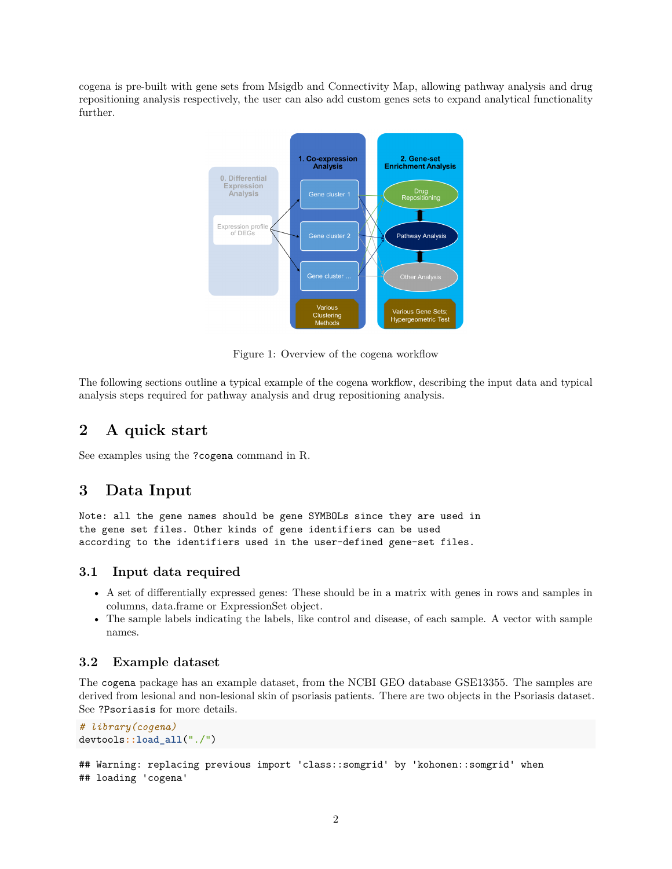cogena is pre-built with gene sets from Msigdb and Connectivity Map, allowing pathway analysis and drug repositioning analysis respectively, the user can also add custom genes sets to expand analytical functionality further.



Figure 1: Overview of the cogena workflow

The following sections outline a typical example of the cogena workflow, describing the input data and typical analysis steps required for pathway analysis and drug repositioning analysis.

# <span id="page-1-0"></span>**2 A quick start**

See examples using the ?cogena command in R.

# <span id="page-1-1"></span>**3 Data Input**

Note: all the gene names should be gene SYMBOLs since they are used in the gene set files. Other kinds of gene identifiers can be used according to the identifiers used in the user-defined gene-set files.

#### <span id="page-1-2"></span>**3.1 Input data required**

- A set of differentially expressed genes: These should be in a matrix with genes in rows and samples in columns, data.frame or ExpressionSet object.
- The sample labels indicating the labels, like control and disease, of each sample. A vector with sample names.

#### <span id="page-1-3"></span>**3.2 Example dataset**

The cogena package has an example dataset, from the NCBI GEO database [GSE13355.](http://www.ncbi.nlm.nih.gov/geo/query/acc.cgi?acc=GSE13355) The samples are derived from lesional and non-lesional skin of psoriasis patients. There are two objects in the Psoriasis dataset. See ?Psoriasis for more details.

```
# library(cogena)
devtools::load_all("./")
## Warning: replacing previous import 'class::somgrid' by 'kohonen::somgrid' when
## loading 'cogena'
```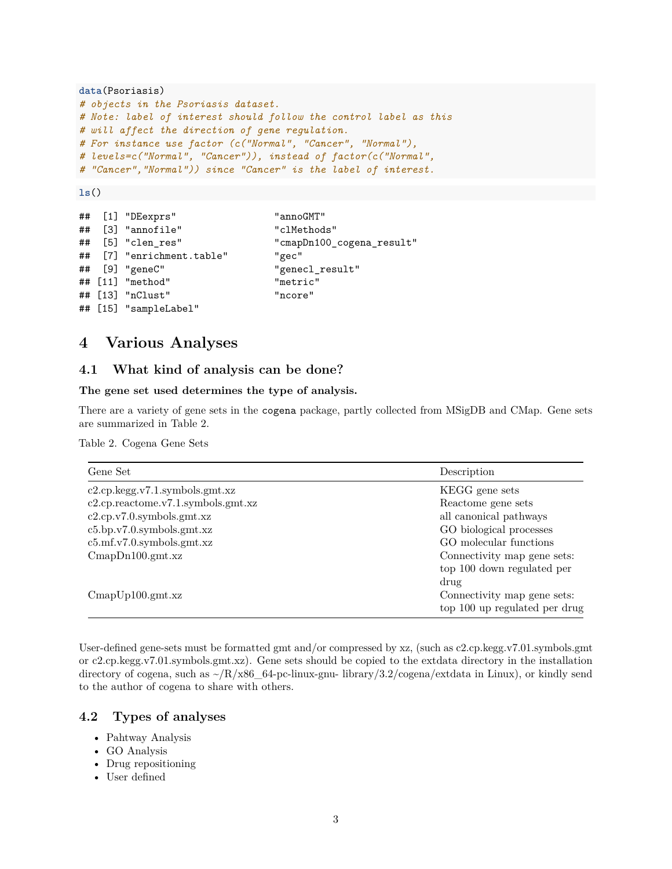```
data(Psoriasis)
# objects in the Psoriasis dataset.
# Note: label of interest should follow the control label as this
# will affect the direction of gene regulation.
# For instance use factor (c("Normal", "Cancer", "Normal"),
# levels=c("Normal", "Cancer")), instead of factor(c("Normal",
# "Cancer","Normal")) since "Cancer" is the label of interest.
```
**ls**()

```
## [1] "DEexprs" "annoGMT"
## [3] "annofile" "clMethods"
## [5] "clen res" "cmapDn100 cogena result"
## [7] "enrichment.table" "gec"
## [9] "geneC" "genecl_result"
## [11] "method" "metric"
## [13] "nClust" "ncore"
## [15] "sampleLabel"
```
# <span id="page-2-0"></span>**4 Various Analyses**

### <span id="page-2-1"></span>**4.1 What kind of analysis can be done?**

#### **The gene set used determines the type of analysis.**

There are a variety of gene sets in the cogena package, partly collected from [MSigDB](http://www.broadinstitute.org/gsea/msigdb/index.jsp) and [CMap.](#page-0-1) Gene sets are summarized in Table 2.

Table 2. Cogena Gene Sets

| Gene Set                            | Description                   |
|-------------------------------------|-------------------------------|
| c2.cp.kegg.v7.1.symbols.gmt.xz      | KEGG gene sets                |
| c2.cp.readctome.v7.1.symbols.gmt.xz | Reactome gene sets            |
| c2.cp.v7.0.symbols.gmt.xz           | all canonical pathways        |
| c5.bp.v7.0.symbols.gmt.xz           | GO biological processes       |
| c5.mf.v7.0.symbols.gmt.xz           | GO molecular functions        |
| CmapDn100.gmt.xz                    | Connectivity map gene sets:   |
|                                     | top 100 down regulated per    |
|                                     | drug                          |
| CmapUp100.gmt.xz                    | Connectivity map gene sets:   |
|                                     | top 100 up regulated per drug |

User-defined gene-sets must be formatted gmt and/or compressed by xz, (such as c2.cp.kegg.v7.01.symbols.gmt or c2.cp.kegg.v7.01.symbols.gmt.xz). Gene sets should be copied to the extdata directory in the installation directory of cogena, such as  $\sim/R/x86\_64$ -pc-linux-gnu- library/3.2/cogena/extdata in Linux), or kindly send to the author of cogena to share with others.

#### <span id="page-2-2"></span>**4.2 Types of analyses**

- Pahtway Analysis
- GO Analysis
- Drug repositioning
- User defined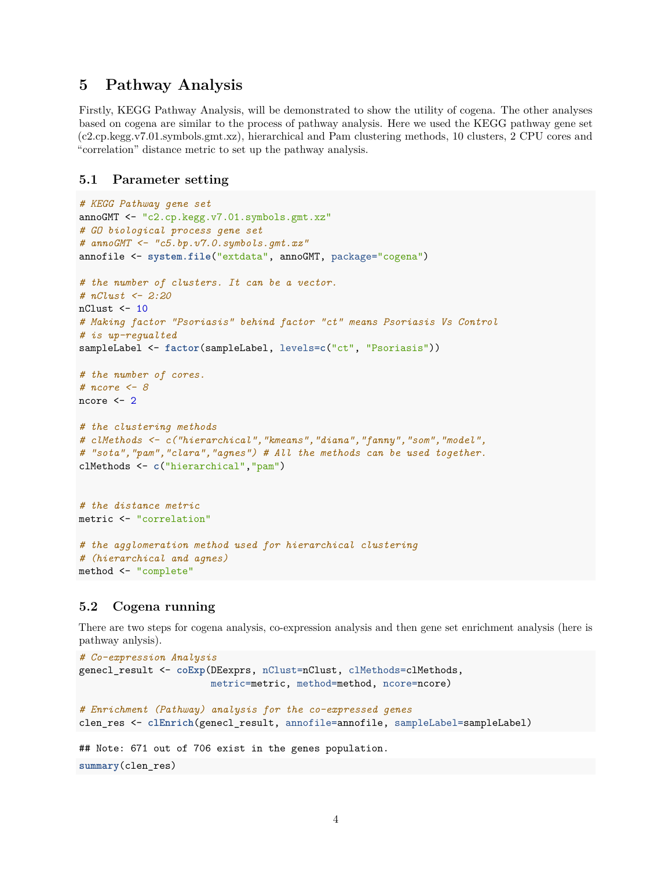# <span id="page-3-0"></span>**5 Pathway Analysis**

Firstly, KEGG Pathway Analysis, will be demonstrated to show the utility of cogena. The other analyses based on cogena are similar to the process of pathway analysis. Here we used the KEGG pathway gene set (c2.cp.kegg.v7.01.symbols.gmt.xz), hierarchical and Pam clustering methods, 10 clusters, 2 CPU cores and "correlation" distance metric to set up the pathway analysis.

#### <span id="page-3-1"></span>**5.1 Parameter setting**

```
# KEGG Pathway gene set
annoGMT <- "c2.cp.kegg.v7.01.symbols.gmt.xz"
# GO biological process gene set
# annoGMT <- "c5.bp.v7.0.symbols.gmt.xz"
annofile <- system.file("extdata", annoGMT, package="cogena")
# the number of clusters. It can be a vector.
# nClust <- 2:20
nCluster < -10# Making factor "Psoriasis" behind factor "ct" means Psoriasis Vs Control
# is up-regualted
sampleLabel <- factor(sampleLabel, levels=c("ct", "Psoriasis"))
# the number of cores.
# ncore <- 8
ncore \leq 2
# the clustering methods
# clMethods <- c("hierarchical","kmeans","diana","fanny","som","model",
# "sota","pam","clara","agnes") # All the methods can be used together.
clMethods <- c("hierarchical","pam")
# the distance metric
metric <- "correlation"
# the agglomeration method used for hierarchical clustering
# (hierarchical and agnes)
method <- "complete"
```
## <span id="page-3-2"></span>**5.2 Cogena running**

There are two steps for cogena analysis, co-expression analysis and then gene set enrichment analysis (here is pathway anlysis).

```
# Co-expression Analysis
genecl_result <- coExp(DEexprs, nClust=nClust, clMethods=clMethods,
                       metric=metric, method=method, ncore=ncore)
# Enrichment (Pathway) analysis for the co-expressed genes
clen_res <- clEnrich(genecl_result, annofile=annofile, sampleLabel=sampleLabel)
## Note: 671 out of 706 exist in the genes population.
summary(clen_res)
```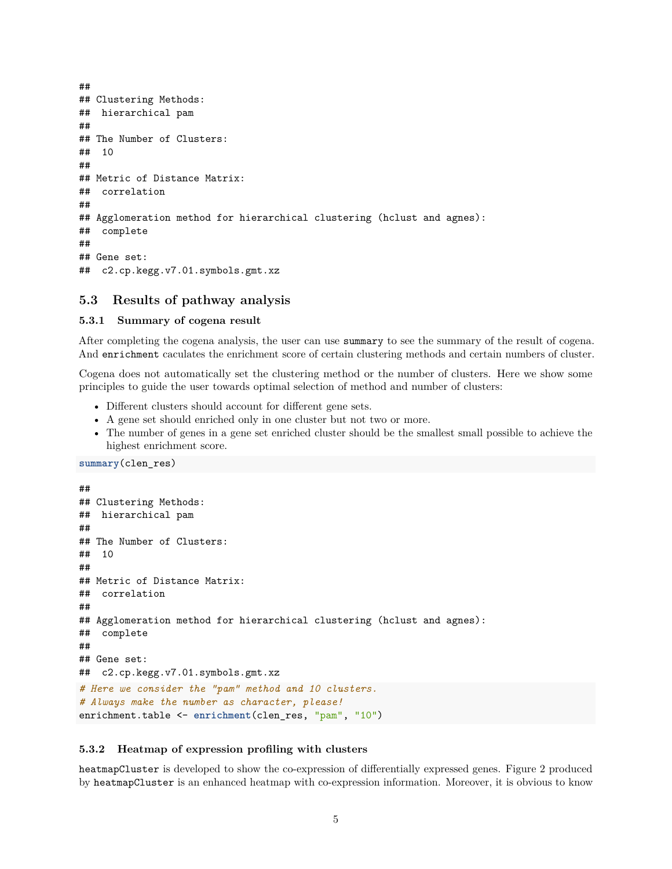## ## Clustering Methods: ## hierarchical pam ## ## The Number of Clusters: ## 10 ## ## Metric of Distance Matrix: ## correlation ## ## Agglomeration method for hierarchical clustering (hclust and agnes): ## complete ## ## Gene set: ## c2.cp.kegg.v7.01.symbols.gmt.xz

#### <span id="page-4-0"></span>**5.3 Results of pathway analysis**

#### <span id="page-4-1"></span>**5.3.1 Summary of cogena result**

After completing the cogena analysis, the user can use summary to see the summary of the result of cogena. And enrichment caculates the enrichment score of certain clustering methods and certain numbers of cluster.

Cogena does not automatically set the clustering method or the number of clusters. Here we show some principles to guide the user towards optimal selection of method and number of clusters:

- Different clusters should account for different gene sets.
- A gene set should enriched only in one cluster but not two or more.
- The number of genes in a gene set enriched cluster should be the smallest small possible to achieve the highest enrichment score.

```
summary(clen_res)
```

```
##
## Clustering Methods:
## hierarchical pam
##
## The Number of Clusters:
## 10
##
## Metric of Distance Matrix:
## correlation
##
## Agglomeration method for hierarchical clustering (hclust and agnes):
## complete
##
## Gene set:
## c2.cp.kegg.v7.01.symbols.gmt.xz
# Here we consider the "pam" method and 10 clusters.
# Always make the number as character, please!
enrichment.table <- enrichment(clen_res, "pam", "10")
```
#### <span id="page-4-2"></span>**5.3.2 Heatmap of expression profiling with clusters**

heatmapCluster is developed to show the co-expression of differentially expressed genes. Figure 2 produced by heatmapCluster is an enhanced heatmap with co-expression information. Moreover, it is obvious to know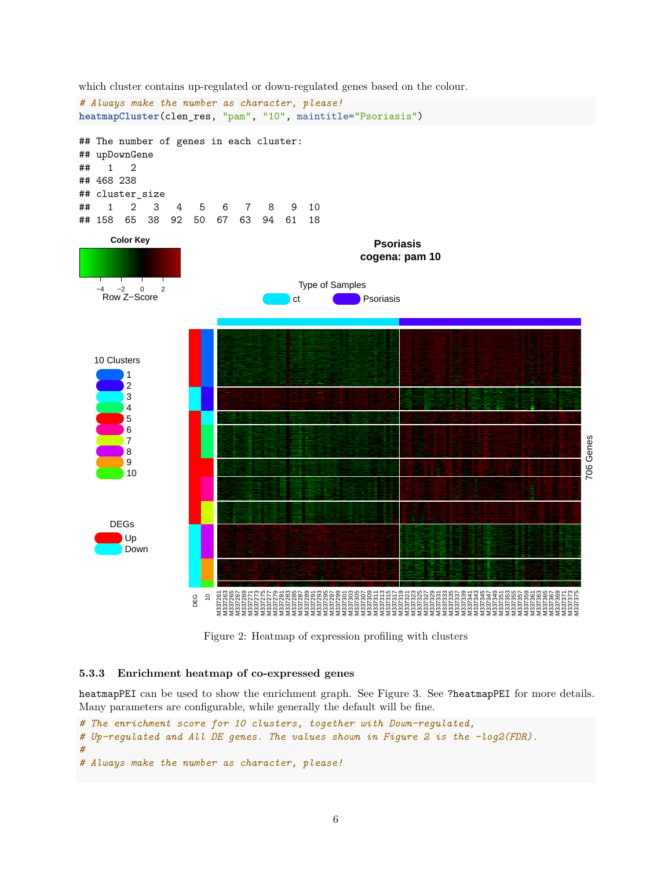which cluster contains up-regulated or down-regulated genes based on the colour.



Figure 2: Heatmap of expression profiling with clusters

#### <span id="page-5-0"></span>**5.3.3 Enrichment heatmap of co-expressed genes**

heatmapPEI can be used to show the enrichment graph. See Figure 3. See ?heatmapPEI for more details. Many parameters are configurable, while generally the default will be fine.

```
# The enrichment score for 10 clusters, together with Down-regulated,
# Up-regulated and All DE genes. The values shown in Figure 2 is the -log2(FDR).
#
# Always make the number as character, please!
```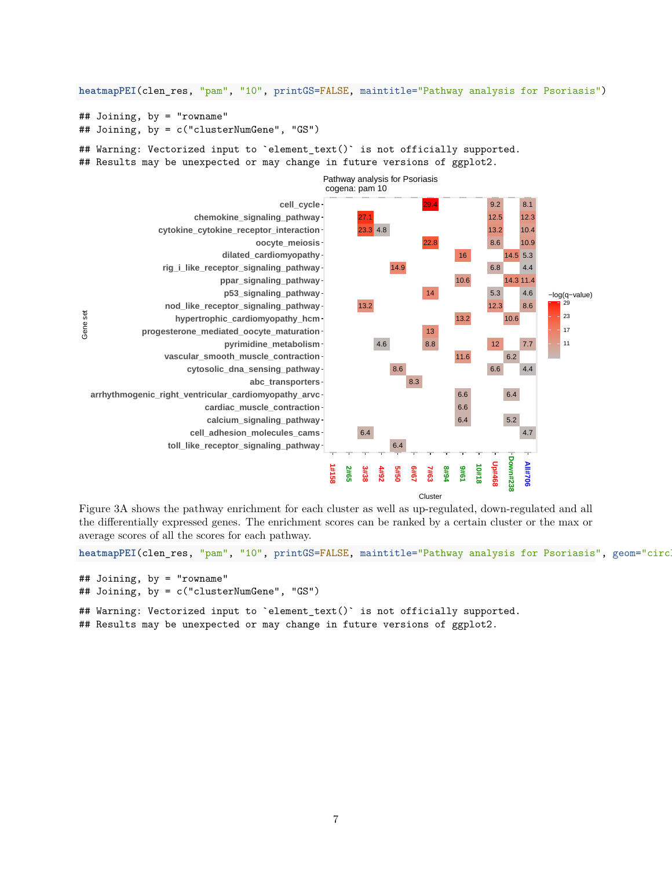```
heatmapPEI(clen_res, "pam", "10", printGS=FALSE, maintitle="Pathway analysis for Psoriasis")
## Joining, by = "rowname"
## Joining, by = c("clusterNumGene", "GS")
```
## Warning: Vectorized input to `element\_text()` is not officially supported. ## Results may be unexpected or may change in future versions of ggplot2.



Figure 3A shows the pathway enrichment for each cluster as well as up-regulated, down-regulated and all the differentially expressed genes. The enrichment scores can be ranked by a certain cluster or the max or average scores of all the scores for each pathway.

heatmapPEI(clen\_res, "pam", "10", printGS=FALSE, maintitle="Pathway analysis for Psoriasis", geom="circ

```
## Joining, by = "rowname"
## Joining, by = c("clusterNumGene", "GS")
## Warning: Vectorized input to `element_text()` is not officially supported.
## Results may be unexpected or may change in future versions of ggplot2.
```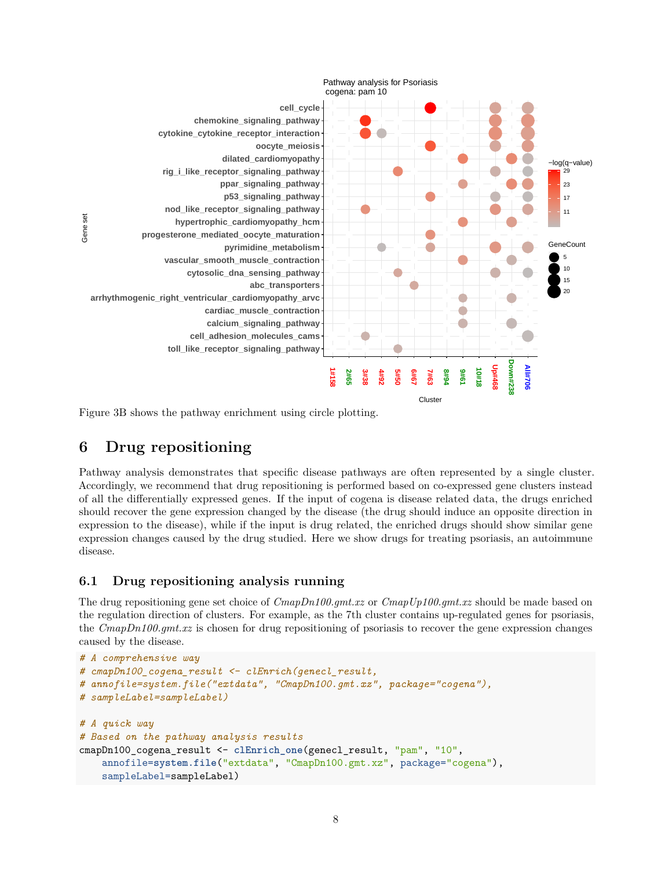

Figure 3B shows the pathway enrichment using circle plotting.

# <span id="page-7-0"></span>**6 Drug repositioning**

Pathway analysis demonstrates that specific disease pathways are often represented by a single cluster. Accordingly, we recommend that drug repositioning is performed based on co-expressed gene clusters instead of all the differentially expressed genes. If the input of cogena is disease related data, the drugs enriched should recover the gene expression changed by the disease (the drug should induce an opposite direction in expression to the disease), while if the input is drug related, the enriched drugs should show similar gene expression changes caused by the drug studied. Here we show drugs for treating psoriasis, an autoimmune disease.

## <span id="page-7-1"></span>**6.1 Drug repositioning analysis running**

The drug repositioning gene set choice of *CmapDn100.gmt.xz* or *CmapUp100.gmt.xz* should be made based on the regulation direction of clusters. For example, as the 7th cluster contains up-regulated genes for psoriasis, the *CmapDn100.gmt.xz* is chosen for drug repositioning of psoriasis to recover the gene expression changes caused by the disease.

```
# A comprehensive way
# cmapDn100_cogena_result <- clEnrich(genecl_result,
# annofile=system.file("extdata", "CmapDn100.gmt.xz", package="cogena"),
# sampleLabel=sampleLabel)
# A quick way
# Based on the pathway analysis results
cmapDn100 cogena result <- clEnrich one(genecl result, "pam", "10",
    annofile=system.file("extdata", "CmapDn100.gmt.xz", package="cogena"),
    sampleLabel=sampleLabel)
```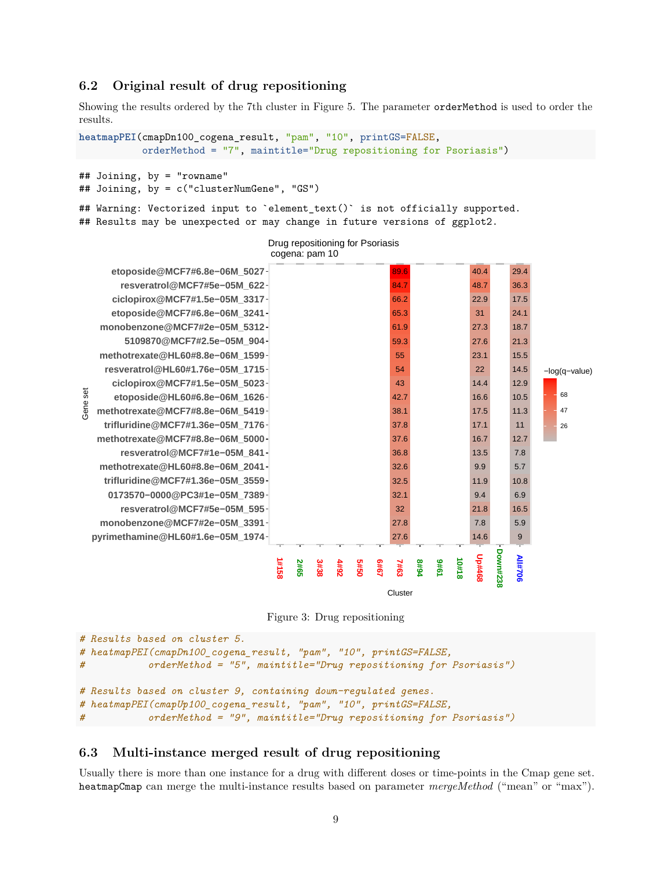### <span id="page-8-0"></span>**6.2 Original result of drug repositioning**

Showing the results ordered by the 7th cluster in Figure 5. The parameter orderMethod is used to order the results.

```
heatmapPEI(cmapDn100_cogena_result, "pam", "10", printGS=FALSE,
           orderMethod = "7", maintitle="Drug repositioning for Psoriasis")
```
## Joining, by = "rowname" ## Joining, by = c("clusterNumGene", "GS")

```
## Warning: Vectorized input to `element_text()` is not officially supported.
## Results may be unexpected or may change in future versions of ggplot2.
```

|          |                                                                       | Cluster |      |      |             |              |             |              |             |      |       |              |                 |            |                 |  |
|----------|-----------------------------------------------------------------------|---------|------|------|-------------|--------------|-------------|--------------|-------------|------|-------|--------------|-----------------|------------|-----------------|--|
|          |                                                                       | 1#158   | 2#65 | 3#38 | <b>Z6#P</b> | <b>05#SD</b> | <b>L9#9</b> | 7#63         | <b>P6#8</b> | 19#6 | 10#18 | $0pt$ 408    | <b>Down#238</b> | 902#IV     |                 |  |
|          | pyrimethamine@HL60#1.6e-05M_1974-                                     |         |      |      |             |              |             | 27.6         |             |      |       | 14.6         |                 | 9          |                 |  |
|          | monobenzone@MCF7#2e-05M 3391-                                         |         |      |      |             |              |             | 27.8         |             |      |       | 7.8          |                 | 5.9        |                 |  |
|          | resveratrol@MCF7#5e-05M 595-                                          |         |      |      |             |              |             | 32           |             |      |       | 21.8         |                 | 16.5       |                 |  |
|          | 0173570-0000@PC3#1e-05M 7389-                                         |         |      |      |             |              |             | 32.1         |             |      |       | 9.4          |                 | 6.9        |                 |  |
|          | trifluridine@MCF7#1.36e-05M 3559-                                     |         |      |      |             |              |             | 32.5         |             |      |       | 11.9         |                 | 10.8       |                 |  |
|          | methotrexate@HL60#8.8e-06M 2041-                                      |         |      |      |             |              |             | 32.6         |             |      |       | 9.9          |                 | 5.7        |                 |  |
|          | resveratrol@MCF7#1e-05M 841-                                          |         |      |      |             |              |             | 36.8         |             |      |       | 13.5         |                 | 7.8        |                 |  |
|          | methotrexate@MCF7#8.8e-06M_5000-                                      |         |      |      |             |              |             | 37.6         |             |      |       | 16.7         |                 | 12.7       |                 |  |
|          | methotrexate@MCF7#8.8e-06M 5419-<br>trifluridine@MCF7#1.36e-05M 7176- |         |      |      |             |              |             | 38.1<br>37.8 |             |      |       | 17.5<br>17.1 |                 | 11.3<br>11 | 26              |  |
| Gene set | etoposide@HL60#6.8e-06M 1626-                                         |         |      |      |             |              |             | 42.7         |             |      |       | 16.6         |                 | 10.5       | 47              |  |
|          | ciclopirox@MCF7#1.5e-05M 5023-                                        |         |      |      |             |              |             | 43           |             |      |       | 14.4         |                 | 12.9       | 68              |  |
|          | resveratrol@HL60#1.76e-05M 1715-                                      |         |      |      |             |              |             | 54           |             |      |       | 22           |                 | 14.5       | $-log(q-value)$ |  |
|          | methotrexate@HL60#8.8e-06M 1599-                                      |         |      |      |             |              |             | 55           |             |      |       | 23.1         |                 | 15.5       |                 |  |
|          | 5109870@MCF7#2.5e-05M_904-                                            |         |      |      |             |              |             | 59.3         |             |      |       | 27.6         |                 | 21.3       |                 |  |
|          | monobenzone@MCF7#2e-05M_5312-                                         |         |      |      |             |              |             | 61.9         |             |      |       | 27.3         |                 | 18.7       |                 |  |
|          | etoposide@MCF7#6.8e-06M_3241-                                         |         |      |      |             |              |             | 65.3         |             |      |       | 31           |                 | 24.1       |                 |  |
|          | ciclopirox@MCF7#1.5e-05M 3317-                                        |         |      |      |             |              |             | 66.2         |             |      |       | 22.9         |                 | 17.5       |                 |  |
|          | resveratrol@MCF7#5e-05M 622-                                          |         |      |      |             |              |             | 84.7         |             |      |       | 48.7         |                 | 36.3       |                 |  |
|          | etoposide@MCF7#6.8e-06M 5027-                                         |         |      |      |             |              |             | 89.6         |             |      |       | 40.4         |                 | 29.4       |                 |  |

Drug repositioning for Psoriasis cogena: pam 10

Figure 3: Drug repositioning

```
# Results based on cluster 5.
# heatmapPEI(cmapDn100_cogena_result, "pam", "10", printGS=FALSE,
# orderMethod = "5", maintitle="Drug repositioning for Psoriasis")
# Results based on cluster 9, containing down-regulated genes.
# heatmapPEI(cmapUp100_cogena_result, "pam", "10", printGS=FALSE,
# orderMethod = "9", maintitle="Drug repositioning for Psoriasis")
```
#### <span id="page-8-1"></span>**6.3 Multi-instance merged result of drug repositioning**

Usually there is more than one instance for a drug with different doses or time-points in the Cmap gene set. heatmapCmap can merge the multi-instance results based on parameter *mergeMethod* ("mean" or "max").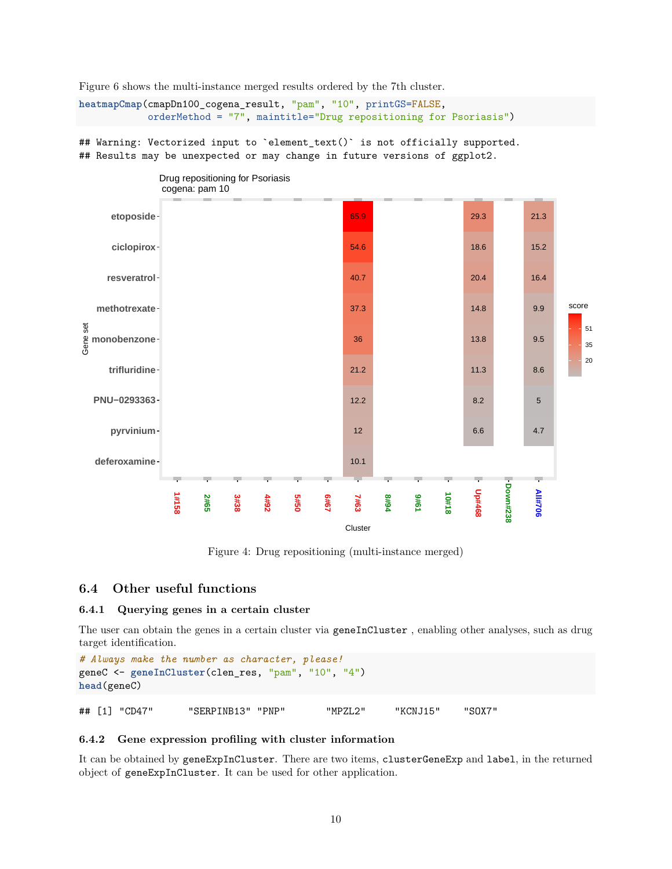Figure 6 shows the multi-instance merged results ordered by the 7th cluster.

```
heatmapCmap(cmapDn100_cogena_result, "pam", "10", printGS=FALSE,
            orderMethod = "7", maintitle="Drug repositioning for Psoriasis")
```
## Warning: Vectorized input to `element\_text()` is not officially supported. ## Results may be unexpected or may change in future versions of ggplot2.



Figure 4: Drug repositioning (multi-instance merged)

### <span id="page-9-0"></span>**6.4 Other useful functions**

#### <span id="page-9-1"></span>**6.4.1 Querying genes in a certain cluster**

The user can obtain the genes in a certain cluster via geneInCluster, enabling other analyses, such as drug target identification.

```
# Always make the number as character, please!
geneC <- geneInCluster(clen_res, "pam", "10", "4")
head(geneC)
```
## [1] "CD47" "SERPINB13" "PNP" "MPZL2" "KCNJ15" "SOX7"

#### <span id="page-9-2"></span>**6.4.2 Gene expression profiling with cluster information**

It can be obtained by geneExpInCluster. There are two items, clusterGeneExp and label, in the returned object of geneExpInCluster. It can be used for other application.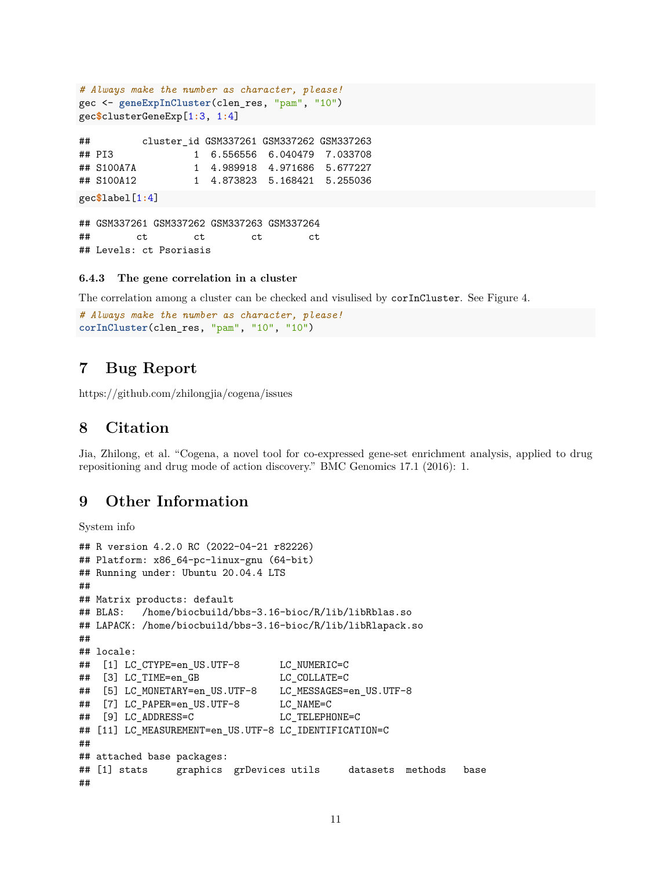```
# Always make the number as character, please!
gec <- geneExpInCluster(clen_res, "pam", "10")
gec$clusterGeneExp[1:3, 1:4]
## cluster_id GSM337261 GSM337262 GSM337263
## PI3 1 6.556556 6.040479 7.033708
## S100A7A 1 4.989918 4.971686 5.677227
## S100A12 1 4.873823 5.168421 5.255036
gec$label[1:4]
## GSM337261 GSM337262 GSM337263 GSM337264
## ct ct ct ct
## Levels: ct Psoriasis
```
<span id="page-10-0"></span>**6.4.3 The gene correlation in a cluster**

The correlation among a cluster can be checked and visulised by corInCluster. See Figure 4.

```
# Always make the number as character, please!
corInCluster(clen_res, "pam", "10", "10")
```
# <span id="page-10-1"></span>**7 Bug Report**

<https://github.com/zhilongjia/cogena/issues>

# <span id="page-10-2"></span>**8 Citation**

[Jia, Zhilong, et al. "Cogena, a novel tool for co-expressed gene-set enrichment analysis, applied to drug](http://bmcgenomics.biomedcentral.com/articles/10.1186/s12864-016-2737-8) [repositioning and drug mode of action discovery." BMC Genomics 17.1 \(2016\): 1.](http://bmcgenomics.biomedcentral.com/articles/10.1186/s12864-016-2737-8)

# <span id="page-10-3"></span>**9 Other Information**

System info

```
## R version 4.2.0 RC (2022-04-21 r82226)
## Platform: x86_64-pc-linux-gnu (64-bit)
## Running under: Ubuntu 20.04.4 LTS
##
## Matrix products: default
## BLAS: /home/biocbuild/bbs-3.16-bioc/R/lib/libRblas.so
## LAPACK: /home/biocbuild/bbs-3.16-bioc/R/lib/libRlapack.so
##
## locale:
## [1] LC_CTYPE=en_US.UTF-8 LC_NUMERIC=C
## [3] LC_TIME=en_GB LC_COLLATE=C
## [5] LC_MONETARY=en_US.UTF-8 LC_MESSAGES=en_US.UTF-8
## [7] LC_PAPER=en_US.UTF-8 LC_NAME=C
## [9] LC_ADDRESS=C LC_TELEPHONE=C
## [11] LC_MEASUREMENT=en_US.UTF-8 LC_IDENTIFICATION=C
##
## attached base packages:
## [1] stats graphics grDevices utils datasets methods base
##
```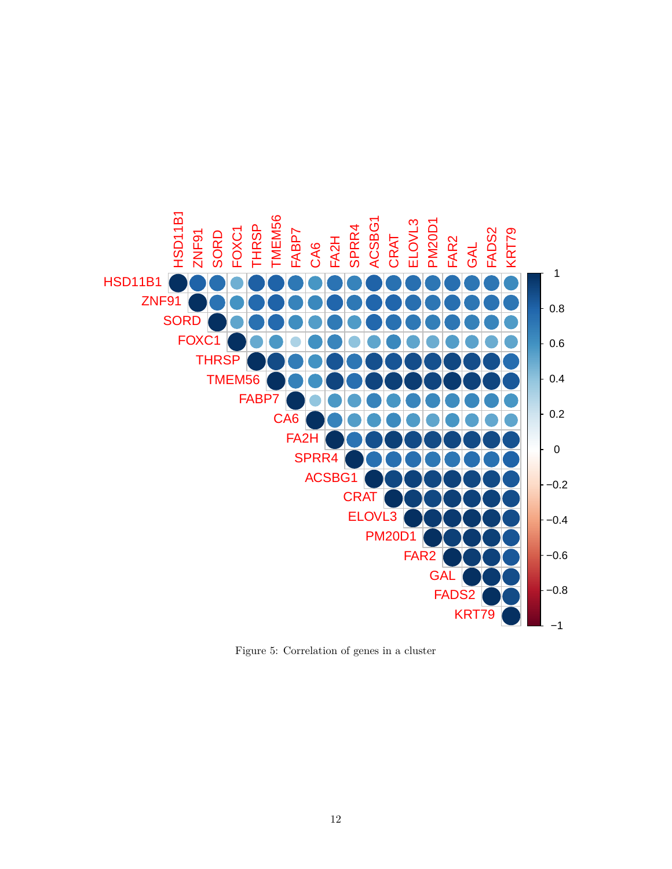

Figure 5: Correlation of genes in a cluster